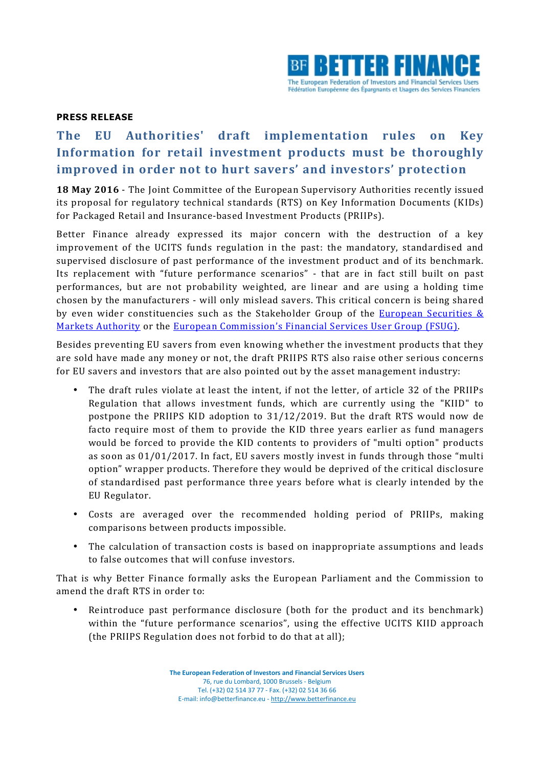

## **PRESS RELEASE**

## The EU Authorities' draft implementation rules on Key **Information for retail investment products must be thoroughly improved** in order not to hurt savers' and investors' protection

**18 May 2016** - The Joint Committee of the European Supervisory Authorities recently issued its proposal for regulatory technical standards (RTS) on Key Information Documents (KIDs) for Packaged Retail and Insurance-based Investment Products (PRIIPs).

Better Finance already expressed its major concern with the destruction of a key improvement of the UCITS funds regulation in the past: the mandatory, standardised and supervised disclosure of past performance of the investment product and of its benchmark. Its replacement with "future performance scenarios" - that are in fact still built on past performances, but are not probability weighted, are linear and are using a holding time chosen by the manufacturers - will only mislead savers. This critical concern is being shared by even wider constituencies such as the Stakeholder Group of the **European Securities &** Markets Authority or the European Commission's Financial Services User Group (FSUG).

Besides preventing EU savers from even knowing whether the investment products that they are sold have made any money or not, the draft PRIIPS RTS also raise other serious concerns for EU savers and investors that are also pointed out by the asset management industry:

- The draft rules violate at least the intent, if not the letter, of article 32 of the PRIIPs Regulation that allows investment funds, which are currently using the "KIID" to postpone the PRIIPS KID adoption to 31/12/2019. But the draft RTS would now de facto require most of them to provide the KID three years earlier as fund managers would be forced to provide the KID contents to providers of "multi option" products as soon as 01/01/2017. In fact, EU savers mostly invest in funds through those "multi option" wrapper products. Therefore they would be deprived of the critical disclosure of standardised past performance three years before what is clearly intended by the EU Regulator.
- Costs are averaged over the recommended holding period of PRIIPs, making comparisons between products impossible.
- The calculation of transaction costs is based on inappropriate assumptions and leads to false outcomes that will confuse investors.

That is why Better Finance formally asks the European Parliament and the Commission to amend the draft RTS in order to:

• Reintroduce past performance disclosure (both for the product and its benchmark) within the "future performance scenarios", using the effective UCITS KIID approach (the PRIIPS Regulation does not forbid to do that at all);